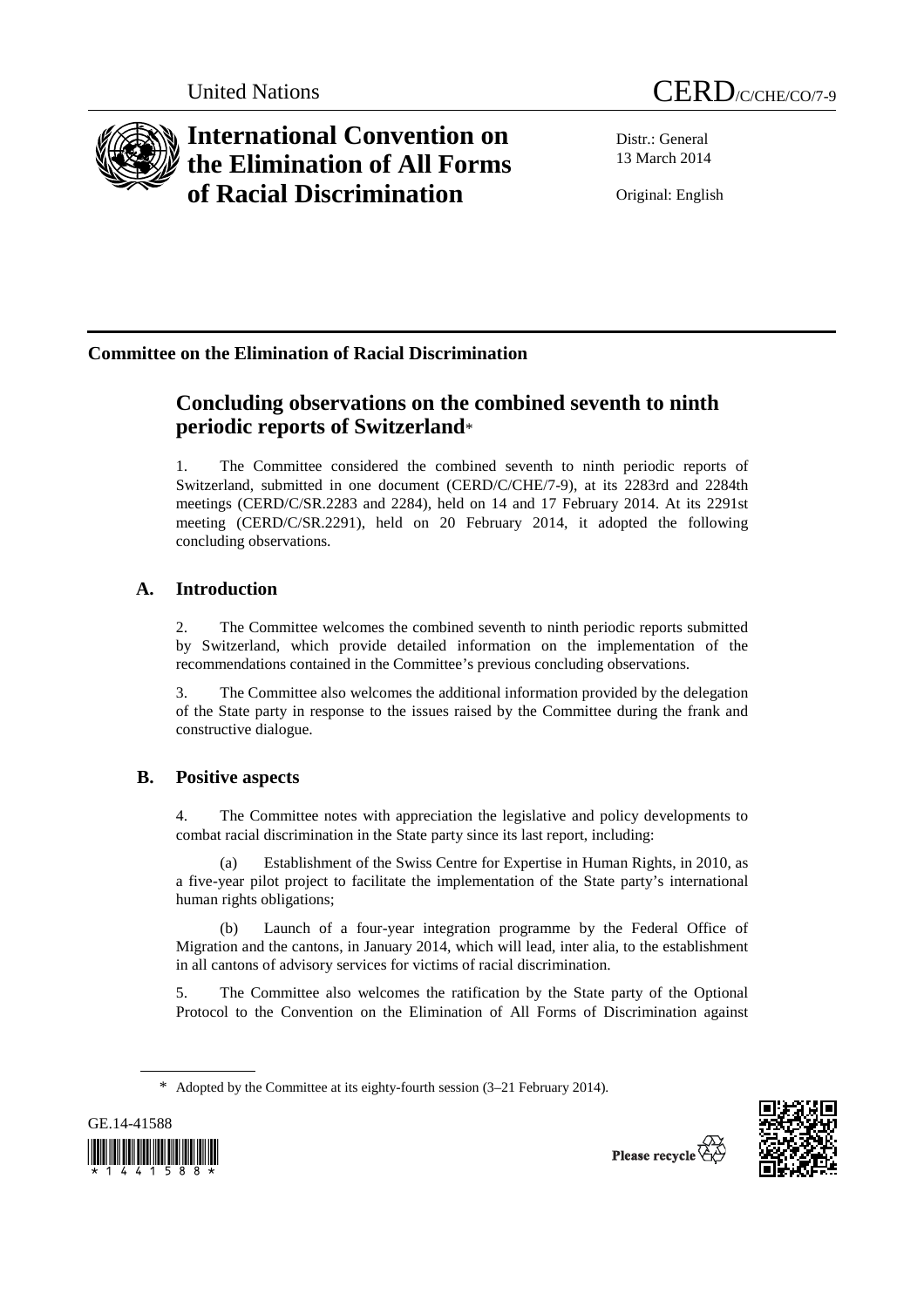

# **International Convention on the Elimination of All Forms of Racial Discrimination**

Distr.: General 13 March 2014

Original: English

## **Committee on the Elimination of Racial Discrimination**

## **Concluding observations on the combined seventh to ninth periodic reports of Switzerland**\*

1. The Committee considered the combined seventh to ninth periodic reports of Switzerland, submitted in one document (CERD/C/CHE/7-9), at its 2283rd and 2284th meetings (CERD/C/SR.2283 and 2284), held on 14 and 17 February 2014. At its 2291st meeting (CERD/C/SR.2291), held on 20 February 2014, it adopted the following concluding observations.

## **A. Introduction**

2. The Committee welcomes the combined seventh to ninth periodic reports submitted by Switzerland, which provide detailed information on the implementation of the recommendations contained in the Committee's previous concluding observations.

3. The Committee also welcomes the additional information provided by the delegation of the State party in response to the issues raised by the Committee during the frank and constructive dialogue.

### **B. Positive aspects**

4. The Committee notes with appreciation the legislative and policy developments to combat racial discrimination in the State party since its last report, including:

Establishment of the Swiss Centre for Expertise in Human Rights, in 2010, as a five-year pilot project to facilitate the implementation of the State party's international human rights obligations;

(b) Launch of a four-year integration programme by the Federal Office of Migration and the cantons, in January 2014, which will lead, inter alia, to the establishment in all cantons of advisory services for victims of racial discrimination.

5. The Committee also welcomes the ratification by the State party of the Optional Protocol to the Convention on the Elimination of All Forms of Discrimination against

<sup>\*</sup> Adopted by the Committee at its eighty-fourth session (3–21 February 2014).



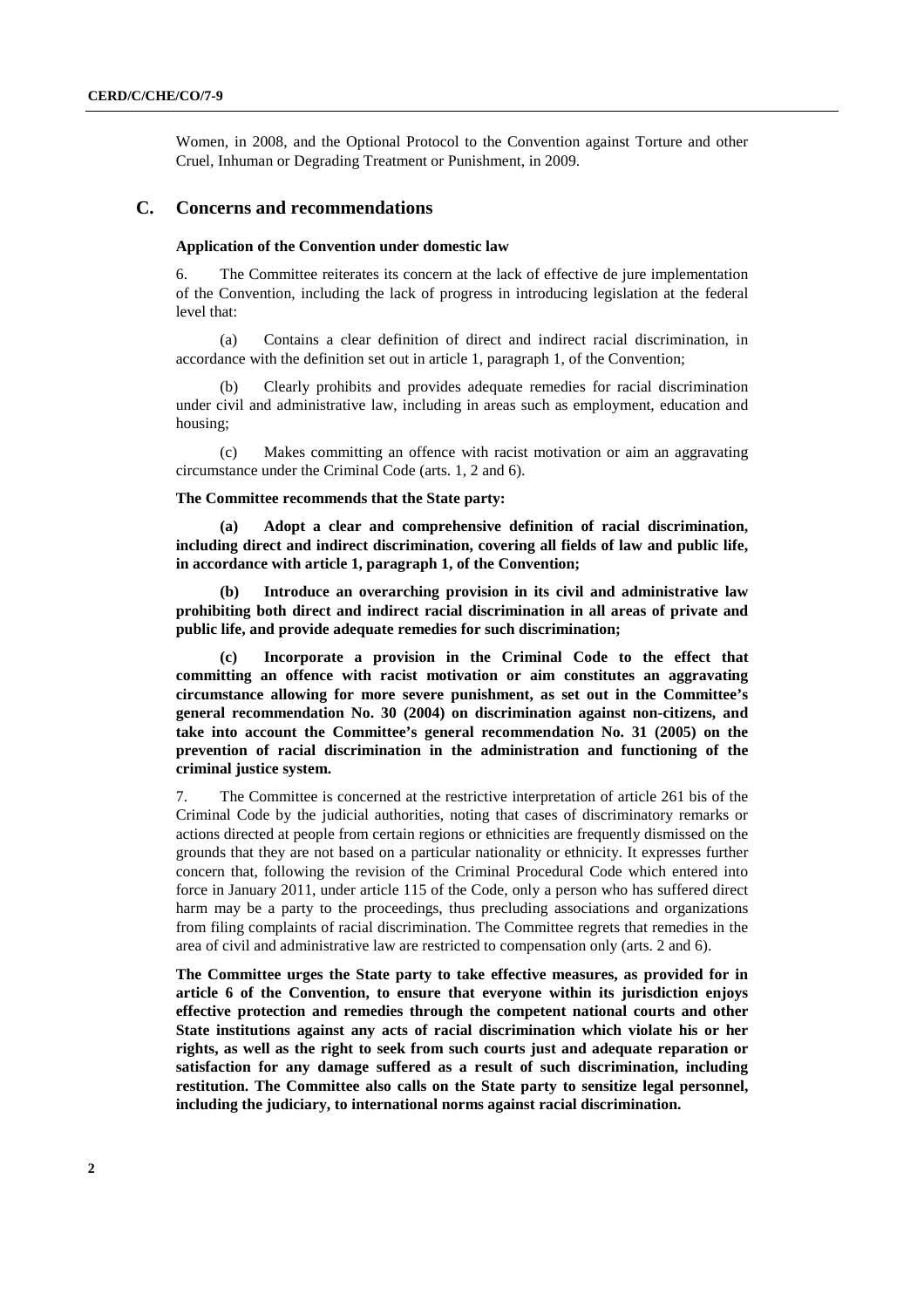Women, in 2008, and the Optional Protocol to the Convention against Torture and other Cruel, Inhuman or Degrading Treatment or Punishment, in 2009.

#### **C. Concerns and recommendations**

#### **Application of the Convention under domestic law**

6. The Committee reiterates its concern at the lack of effective de jure implementation of the Convention, including the lack of progress in introducing legislation at the federal level that:

(a) Contains a clear definition of direct and indirect racial discrimination, in accordance with the definition set out in article 1, paragraph 1, of the Convention;

(b) Clearly prohibits and provides adequate remedies for racial discrimination under civil and administrative law, including in areas such as employment, education and housing;

(c) Makes committing an offence with racist motivation or aim an aggravating circumstance under the Criminal Code (arts. 1, 2 and 6).

#### **The Committee recommends that the State party:**

**(a) Adopt a clear and comprehensive definition of racial discrimination, including direct and indirect discrimination, covering all fields of law and public life, in accordance with article 1, paragraph 1, of the Convention;** 

**(b) Introduce an overarching provision in its civil and administrative law prohibiting both direct and indirect racial discrimination in all areas of private and public life, and provide adequate remedies for such discrimination;** 

**(c) Incorporate a provision in the Criminal Code to the effect that committing an offence with racist motivation or aim constitutes an aggravating circumstance allowing for more severe punishment, as set out in the Committee's general recommendation No. 30 (2004) on discrimination against non-citizens, and take into account the Committee's general recommendation No. 31 (2005) on the prevention of racial discrimination in the administration and functioning of the criminal justice system.** 

7. The Committee is concerned at the restrictive interpretation of article 261 bis of the Criminal Code by the judicial authorities, noting that cases of discriminatory remarks or actions directed at people from certain regions or ethnicities are frequently dismissed on the grounds that they are not based on a particular nationality or ethnicity. It expresses further concern that, following the revision of the Criminal Procedural Code which entered into force in January 2011, under article 115 of the Code, only a person who has suffered direct harm may be a party to the proceedings, thus precluding associations and organizations from filing complaints of racial discrimination. The Committee regrets that remedies in the area of civil and administrative law are restricted to compensation only (arts. 2 and 6).

**The Committee urges the State party to take effective measures, as provided for in article 6 of the Convention, to ensure that everyone within its jurisdiction enjoys effective protection and remedies through the competent national courts and other State institutions against any acts of racial discrimination which violate his or her rights, as well as the right to seek from such courts just and adequate reparation or satisfaction for any damage suffered as a result of such discrimination, including restitution. The Committee also calls on the State party to sensitize legal personnel, including the judiciary, to international norms against racial discrimination.**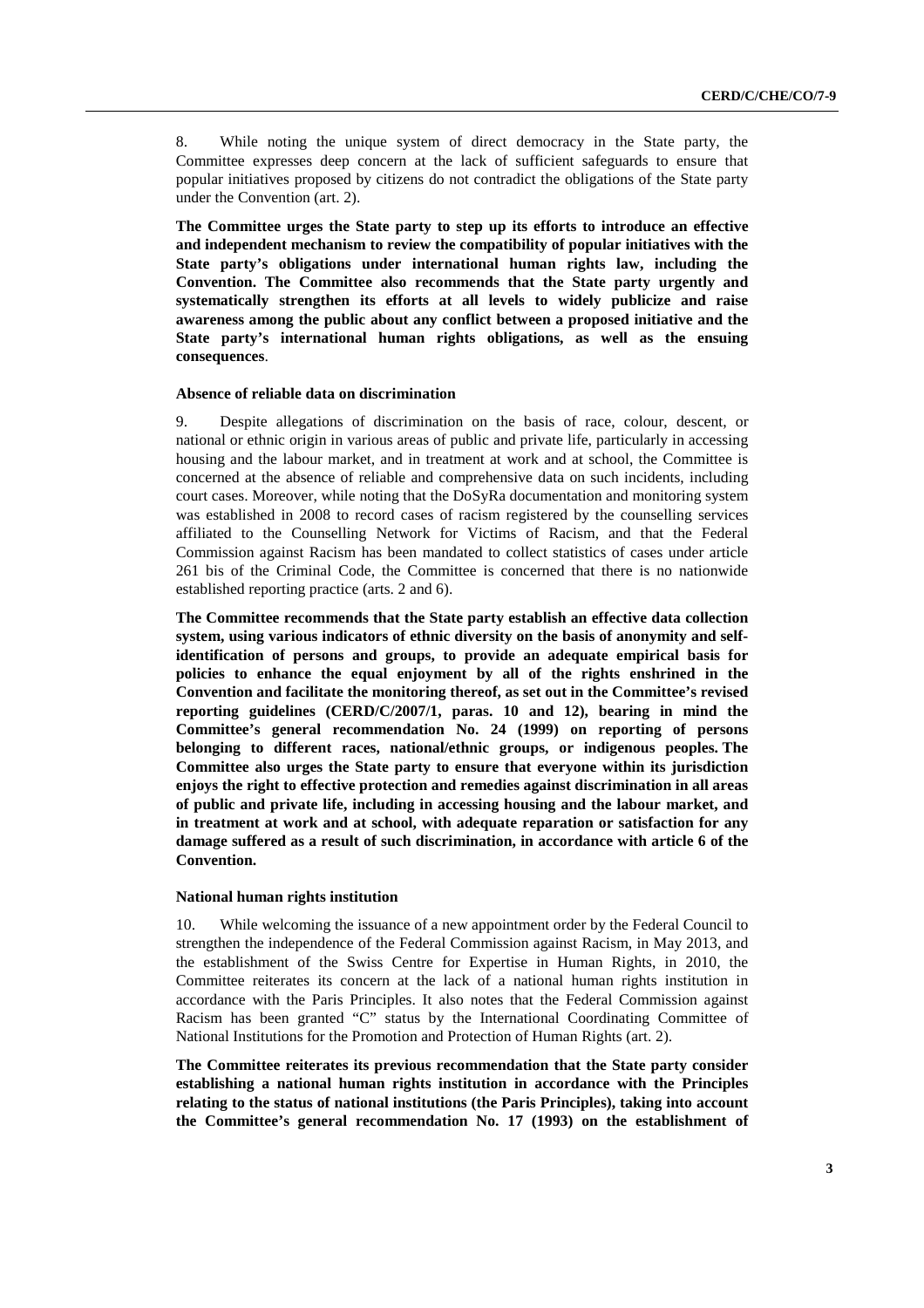8. While noting the unique system of direct democracy in the State party, the Committee expresses deep concern at the lack of sufficient safeguards to ensure that popular initiatives proposed by citizens do not contradict the obligations of the State party under the Convention (art. 2).

**The Committee urges the State party to step up its efforts to introduce an effective and independent mechanism to review the compatibility of popular initiatives with the State party's obligations under international human rights law, including the Convention. The Committee also recommends that the State party urgently and systematically strengthen its efforts at all levels to widely publicize and raise awareness among the public about any conflict between a proposed initiative and the State party's international human rights obligations, as well as the ensuing consequences**.

#### **Absence of reliable data on discrimination**

9. Despite allegations of discrimination on the basis of race, colour, descent, or national or ethnic origin in various areas of public and private life, particularly in accessing housing and the labour market, and in treatment at work and at school, the Committee is concerned at the absence of reliable and comprehensive data on such incidents, including court cases. Moreover, while noting that the DoSyRa documentation and monitoring system was established in 2008 to record cases of racism registered by the counselling services affiliated to the Counselling Network for Victims of Racism, and that the Federal Commission against Racism has been mandated to collect statistics of cases under article 261 bis of the Criminal Code, the Committee is concerned that there is no nationwide established reporting practice (arts. 2 and 6).

**The Committee recommends that the State party establish an effective data collection system, using various indicators of ethnic diversity on the basis of anonymity and selfidentification of persons and groups, to provide an adequate empirical basis for policies to enhance the equal enjoyment by all of the rights enshrined in the Convention and facilitate the monitoring thereof, as set out in the Committee's revised reporting guidelines (CERD/C/2007/1, paras. 10 and 12), bearing in mind the Committee's general recommendation No. 24 (1999) on reporting of persons belonging to different races, national/ethnic groups, or indigenous peoples. The Committee also urges the State party to ensure that everyone within its jurisdiction enjoys the right to effective protection and remedies against discrimination in all areas of public and private life, including in accessing housing and the labour market, and in treatment at work and at school, with adequate reparation or satisfaction for any damage suffered as a result of such discrimination, in accordance with article 6 of the Convention.** 

#### **National human rights institution**

10. While welcoming the issuance of a new appointment order by the Federal Council to strengthen the independence of the Federal Commission against Racism, in May 2013, and the establishment of the Swiss Centre for Expertise in Human Rights, in 2010, the Committee reiterates its concern at the lack of a national human rights institution in accordance with the Paris Principles. It also notes that the Federal Commission against Racism has been granted "C" status by the International Coordinating Committee of National Institutions for the Promotion and Protection of Human Rights (art. 2).

**The Committee reiterates its previous recommendation that the State party consider establishing a national human rights institution in accordance with the Principles relating to the status of national institutions (the Paris Principles), taking into account the Committee's general recommendation No. 17 (1993) on the establishment of**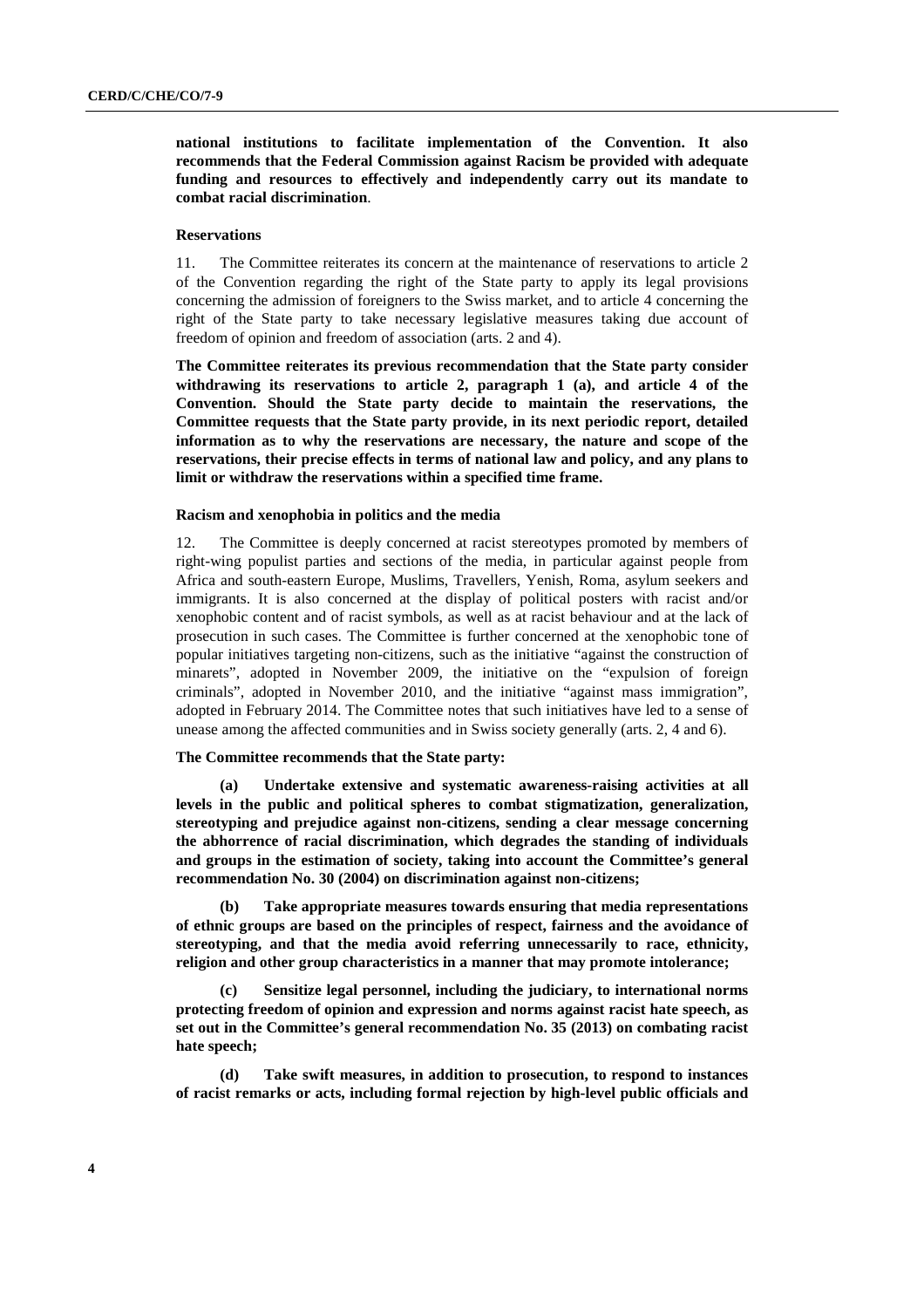**national institutions to facilitate implementation of the Convention. It also recommends that the Federal Commission against Racism be provided with adequate funding and resources to effectively and independently carry out its mandate to combat racial discrimination**.

#### **Reservations**

11. The Committee reiterates its concern at the maintenance of reservations to article 2 of the Convention regarding the right of the State party to apply its legal provisions concerning the admission of foreigners to the Swiss market, and to article 4 concerning the right of the State party to take necessary legislative measures taking due account of freedom of opinion and freedom of association (arts. 2 and 4).

**The Committee reiterates its previous recommendation that the State party consider withdrawing its reservations to article 2, paragraph 1 (a), and article 4 of the Convention. Should the State party decide to maintain the reservations, the Committee requests that the State party provide, in its next periodic report, detailed information as to why the reservations are necessary, the nature and scope of the reservations, their precise effects in terms of national law and policy, and any plans to limit or withdraw the reservations within a specified time frame.** 

#### **Racism and xenophobia in politics and the media**

12. The Committee is deeply concerned at racist stereotypes promoted by members of right-wing populist parties and sections of the media, in particular against people from Africa and south-eastern Europe, Muslims, Travellers, Yenish, Roma, asylum seekers and immigrants. It is also concerned at the display of political posters with racist and/or xenophobic content and of racist symbols, as well as at racist behaviour and at the lack of prosecution in such cases. The Committee is further concerned at the xenophobic tone of popular initiatives targeting non-citizens, such as the initiative "against the construction of minarets", adopted in November 2009, the initiative on the "expulsion of foreign criminals", adopted in November 2010, and the initiative "against mass immigration", adopted in February 2014. The Committee notes that such initiatives have led to a sense of unease among the affected communities and in Swiss society generally (arts. 2, 4 and 6).

#### **The Committee recommends that the State party:**

**(a) Undertake extensive and systematic awareness-raising activities at all levels in the public and political spheres to combat stigmatization, generalization, stereotyping and prejudice against non-citizens, sending a clear message concerning the abhorrence of racial discrimination, which degrades the standing of individuals and groups in the estimation of society, taking into account the Committee's general recommendation No. 30 (2004) on discrimination against non-citizens;** 

**(b) Take appropriate measures towards ensuring that media representations of ethnic groups are based on the principles of respect, fairness and the avoidance of stereotyping, and that the media avoid referring unnecessarily to race, ethnicity, religion and other group characteristics in a manner that may promote intolerance;** 

**(c) Sensitize legal personnel, including the judiciary, to international norms protecting freedom of opinion and expression and norms against racist hate speech, as set out in the Committee's general recommendation No. 35 (2013) on combating racist hate speech;** 

**(d) Take swift measures, in addition to prosecution, to respond to instances of racist remarks or acts, including formal rejection by high-level public officials and**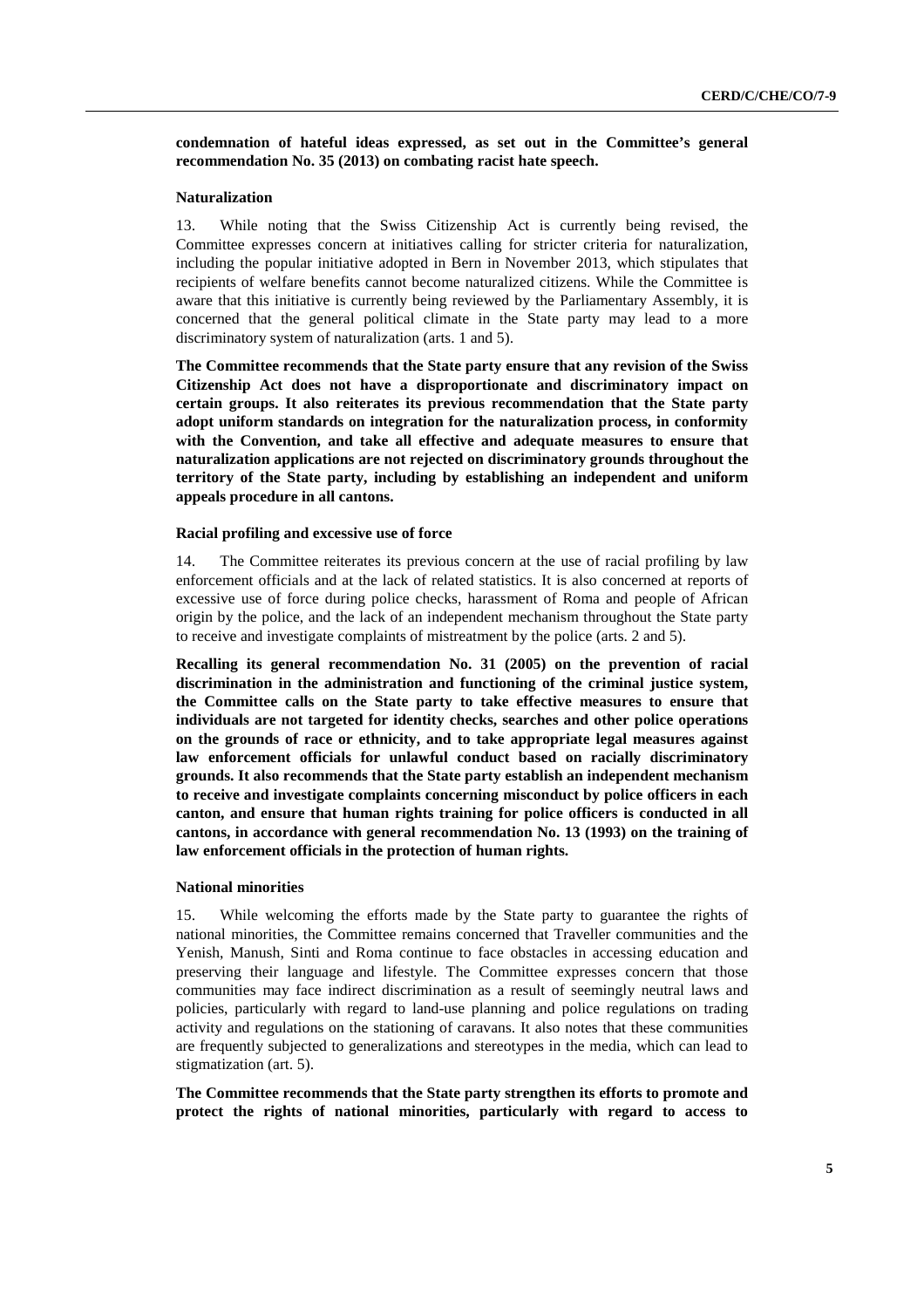**condemnation of hateful ideas expressed, as set out in the Committee's general recommendation No. 35 (2013) on combating racist hate speech.** 

#### **Naturalization**

13. While noting that the Swiss Citizenship Act is currently being revised, the Committee expresses concern at initiatives calling for stricter criteria for naturalization, including the popular initiative adopted in Bern in November 2013, which stipulates that recipients of welfare benefits cannot become naturalized citizens. While the Committee is aware that this initiative is currently being reviewed by the Parliamentary Assembly, it is concerned that the general political climate in the State party may lead to a more discriminatory system of naturalization (arts. 1 and 5).

**The Committee recommends that the State party ensure that any revision of the Swiss Citizenship Act does not have a disproportionate and discriminatory impact on certain groups. It also reiterates its previous recommendation that the State party adopt uniform standards on integration for the naturalization process, in conformity with the Convention, and take all effective and adequate measures to ensure that naturalization applications are not rejected on discriminatory grounds throughout the territory of the State party, including by establishing an independent and uniform appeals procedure in all cantons.** 

#### **Racial profiling and excessive use of force**

14. The Committee reiterates its previous concern at the use of racial profiling by law enforcement officials and at the lack of related statistics. It is also concerned at reports of excessive use of force during police checks, harassment of Roma and people of African origin by the police, and the lack of an independent mechanism throughout the State party to receive and investigate complaints of mistreatment by the police (arts. 2 and 5).

**Recalling its general recommendation No. 31 (2005) on the prevention of racial discrimination in the administration and functioning of the criminal justice system, the Committee calls on the State party to take effective measures to ensure that individuals are not targeted for identity checks, searches and other police operations on the grounds of race or ethnicity, and to take appropriate legal measures against law enforcement officials for unlawful conduct based on racially discriminatory grounds. It also recommends that the State party establish an independent mechanism to receive and investigate complaints concerning misconduct by police officers in each canton, and ensure that human rights training for police officers is conducted in all cantons, in accordance with general recommendation No. 13 (1993) on the training of law enforcement officials in the protection of human rights.** 

#### **National minorities**

15. While welcoming the efforts made by the State party to guarantee the rights of national minorities, the Committee remains concerned that Traveller communities and the Yenish, Manush, Sinti and Roma continue to face obstacles in accessing education and preserving their language and lifestyle. The Committee expresses concern that those communities may face indirect discrimination as a result of seemingly neutral laws and policies, particularly with regard to land-use planning and police regulations on trading activity and regulations on the stationing of caravans. It also notes that these communities are frequently subjected to generalizations and stereotypes in the media, which can lead to stigmatization (art. 5).

**The Committee recommends that the State party strengthen its efforts to promote and protect the rights of national minorities, particularly with regard to access to**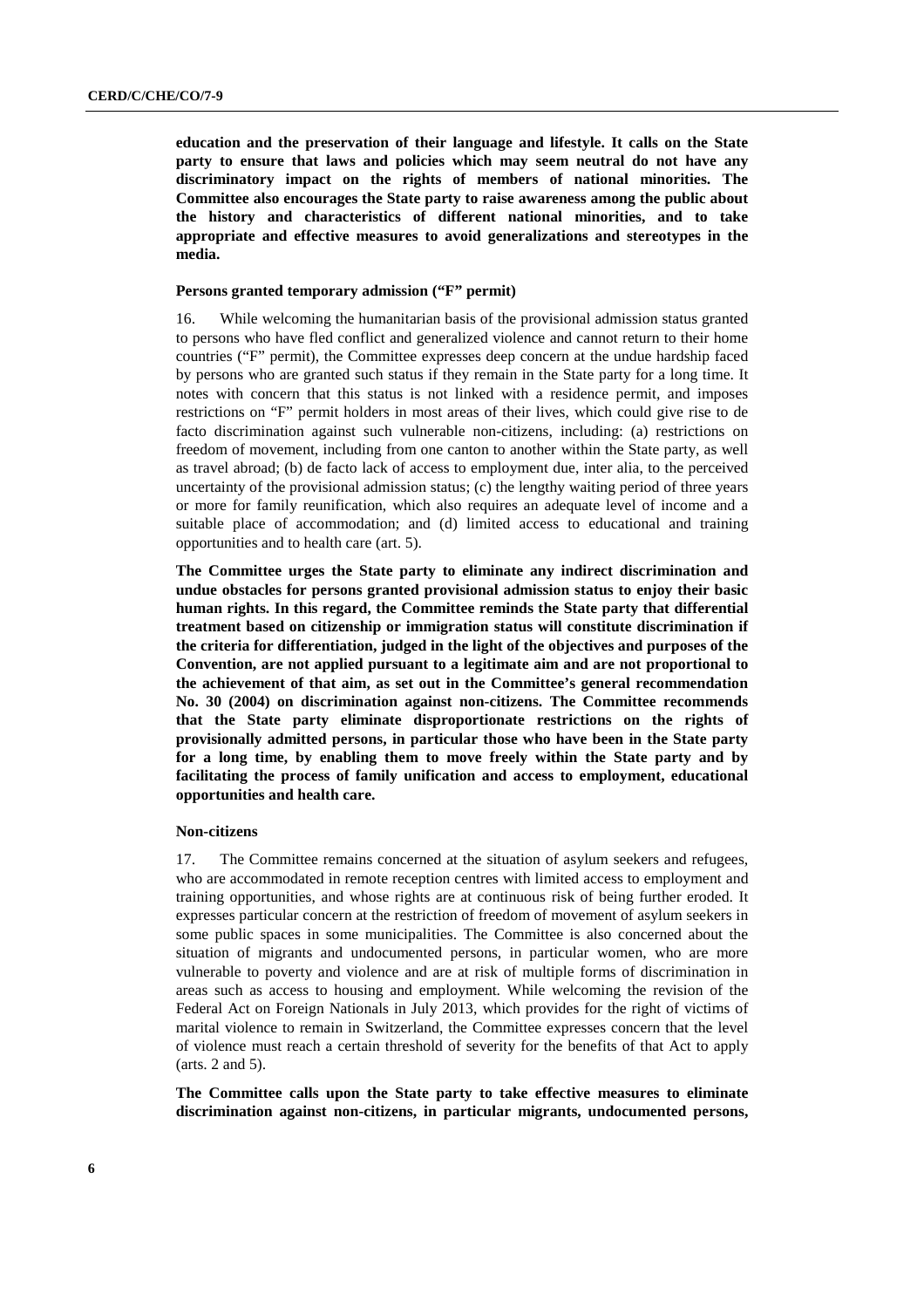**education and the preservation of their language and lifestyle. It calls on the State party to ensure that laws and policies which may seem neutral do not have any discriminatory impact on the rights of members of national minorities. The Committee also encourages the State party to raise awareness among the public about the history and characteristics of different national minorities, and to take appropriate and effective measures to avoid generalizations and stereotypes in the media.** 

#### **Persons granted temporary admission ("F" permit)**

16. While welcoming the humanitarian basis of the provisional admission status granted to persons who have fled conflict and generalized violence and cannot return to their home countries ("F" permit), the Committee expresses deep concern at the undue hardship faced by persons who are granted such status if they remain in the State party for a long time. It notes with concern that this status is not linked with a residence permit, and imposes restrictions on "F" permit holders in most areas of their lives, which could give rise to de facto discrimination against such vulnerable non-citizens, including: (a) restrictions on freedom of movement, including from one canton to another within the State party, as well as travel abroad; (b) de facto lack of access to employment due, inter alia, to the perceived uncertainty of the provisional admission status; (c) the lengthy waiting period of three years or more for family reunification, which also requires an adequate level of income and a suitable place of accommodation; and (d) limited access to educational and training opportunities and to health care (art. 5).

**The Committee urges the State party to eliminate any indirect discrimination and undue obstacles for persons granted provisional admission status to enjoy their basic human rights. In this regard, the Committee reminds the State party that differential treatment based on citizenship or immigration status will constitute discrimination if the criteria for differentiation, judged in the light of the objectives and purposes of the Convention, are not applied pursuant to a legitimate aim and are not proportional to the achievement of that aim, as set out in the Committee's general recommendation No. 30 (2004) on discrimination against non-citizens. The Committee recommends that the State party eliminate disproportionate restrictions on the rights of provisionally admitted persons, in particular those who have been in the State party for a long time, by enabling them to move freely within the State party and by facilitating the process of family unification and access to employment, educational opportunities and health care.** 

#### **Non-citizens**

17. The Committee remains concerned at the situation of asylum seekers and refugees, who are accommodated in remote reception centres with limited access to employment and training opportunities, and whose rights are at continuous risk of being further eroded. It expresses particular concern at the restriction of freedom of movement of asylum seekers in some public spaces in some municipalities. The Committee is also concerned about the situation of migrants and undocumented persons, in particular women, who are more vulnerable to poverty and violence and are at risk of multiple forms of discrimination in areas such as access to housing and employment. While welcoming the revision of the Federal Act on Foreign Nationals in July 2013, which provides for the right of victims of marital violence to remain in Switzerland, the Committee expresses concern that the level of violence must reach a certain threshold of severity for the benefits of that Act to apply (arts. 2 and 5).

**The Committee calls upon the State party to take effective measures to eliminate discrimination against non-citizens, in particular migrants, undocumented persons,**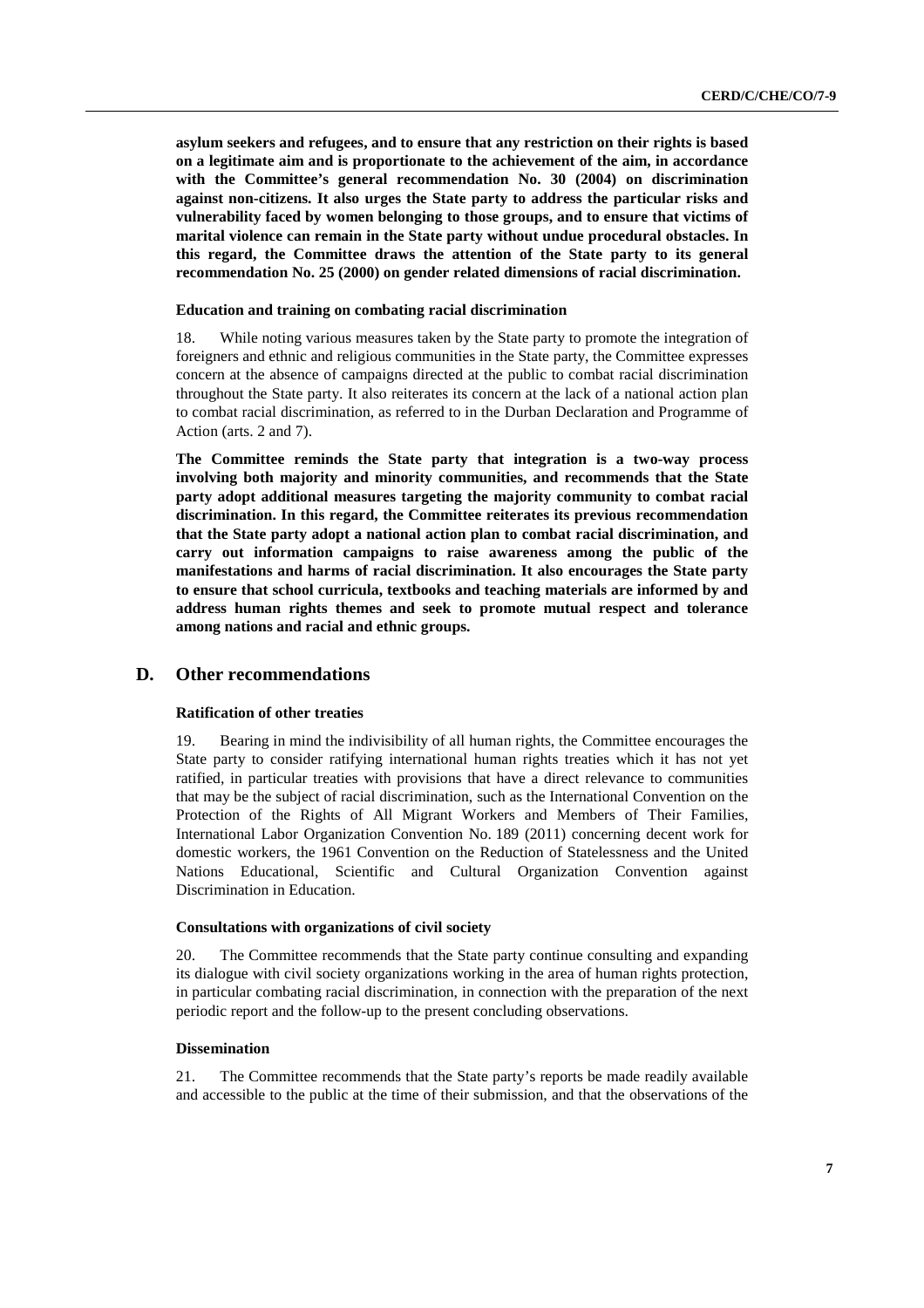**asylum seekers and refugees, and to ensure that any restriction on their rights is based on a legitimate aim and is proportionate to the achievement of the aim, in accordance with the Committee's general recommendation No. 30 (2004) on discrimination against non-citizens. It also urges the State party to address the particular risks and vulnerability faced by women belonging to those groups, and to ensure that victims of marital violence can remain in the State party without undue procedural obstacles. In this regard, the Committee draws the attention of the State party to its general recommendation No. 25 (2000) on gender related dimensions of racial discrimination.** 

#### **Education and training on combating racial discrimination**

18. While noting various measures taken by the State party to promote the integration of foreigners and ethnic and religious communities in the State party, the Committee expresses concern at the absence of campaigns directed at the public to combat racial discrimination throughout the State party. It also reiterates its concern at the lack of a national action plan to combat racial discrimination, as referred to in the Durban Declaration and Programme of Action (arts. 2 and 7).

**The Committee reminds the State party that integration is a two-way process involving both majority and minority communities, and recommends that the State party adopt additional measures targeting the majority community to combat racial discrimination. In this regard, the Committee reiterates its previous recommendation that the State party adopt a national action plan to combat racial discrimination, and carry out information campaigns to raise awareness among the public of the manifestations and harms of racial discrimination. It also encourages the State party to ensure that school curricula, textbooks and teaching materials are informed by and address human rights themes and seek to promote mutual respect and tolerance among nations and racial and ethnic groups.** 

#### **D. Other recommendations**

#### **Ratification of other treaties**

19. Bearing in mind the indivisibility of all human rights, the Committee encourages the State party to consider ratifying international human rights treaties which it has not yet ratified, in particular treaties with provisions that have a direct relevance to communities that may be the subject of racial discrimination, such as the International Convention on the Protection of the Rights of All Migrant Workers and Members of Their Families, International Labor Organization Convention No. 189 (2011) concerning decent work for domestic workers, the 1961 Convention on the Reduction of Statelessness and the United Nations Educational, Scientific and Cultural Organization Convention against Discrimination in Education.

#### **Consultations with organizations of civil society**

20. The Committee recommends that the State party continue consulting and expanding its dialogue with civil society organizations working in the area of human rights protection, in particular combating racial discrimination, in connection with the preparation of the next periodic report and the follow-up to the present concluding observations.

#### **Dissemination**

21. The Committee recommends that the State party's reports be made readily available and accessible to the public at the time of their submission, and that the observations of the